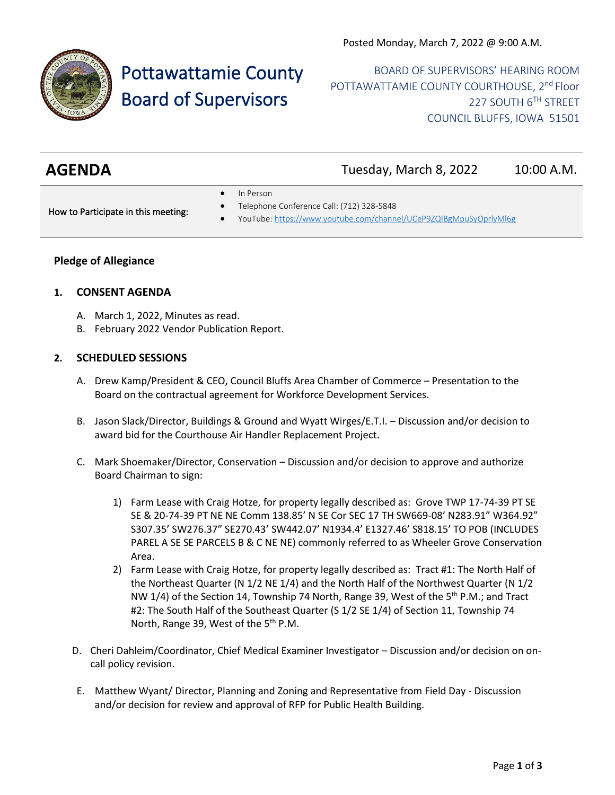

# Pottawattamie County Board of Supervisors

BOARD OF SUPERVISORS' HEARING ROOM POTTAWATTAMIE COUNTY COURTHOUSE, 2<sup>nd</sup> Floor 227 SOUTH 6TH STREET COUNCIL BLUFFS, IOWA 51501

| <b>AGENDA</b> | Tuesday, March 8, 2022 | 10:00 A.M. |
|---------------|------------------------|------------|
|               |                        |            |

In Person

How to Participate in this meeting:

- Telephone Conference Call: (712) 328-5848
- YouTube[: https://www.youtube.com/channel/UCeP9ZQIBgMpuSyOprlyMl6g](https://www.youtube.com/channel/UCeP9ZQIBgMpuSyOprlyMl6g)

## **Pledge of Allegiance**

## **1. CONSENT AGENDA**

- A. March 1, 2022, Minutes as read.
- B. February 2022 Vendor Publication Report.

## **2. SCHEDULED SESSIONS**

- A. Drew Kamp/President & CEO, Council Bluffs Area Chamber of Commerce Presentation to the Board on the contractual agreement for Workforce Development Services.
- B. Jason Slack/Director, Buildings & Ground and Wyatt Wirges/E.T.I. Discussion and/or decision to award bid for the Courthouse Air Handler Replacement Project.
- C. Mark Shoemaker/Director, Conservation Discussion and/or decision to approve and authorize Board Chairman to sign:
	- 1) Farm Lease with Craig Hotze, for property legally described as: Grove TWP 17-74-39 PT SE SE & 20-74-39 PT NE NE Comm 138.85' N SE Cor SEC 17 TH SW669-08' N283.91" W364.92" S307.35' SW276.37" SE270.43' SW442.07' N1934.4' E1327.46' S818.15' TO POB (INCLUDES PAREL A SE SE PARCELS B & C NE NE) commonly referred to as Wheeler Grove Conservation Area.
	- 2) Farm Lease with Craig Hotze, for property legally described as: Tract #1: The North Half of the Northeast Quarter (N 1/2 NE 1/4) and the North Half of the Northwest Quarter (N 1/2 NW 1/4) of the Section 14, Township 74 North, Range 39, West of the  $5<sup>th</sup>$  P.M.; and Tract #2: The South Half of the Southeast Quarter (S 1/2 SE 1/4) of Section 11, Township 74 North, Range 39, West of the 5<sup>th</sup> P.M.
- D. Cheri Dahleim/Coordinator, Chief Medical Examiner Investigator Discussion and/or decision on oncall policy revision.
- E. Matthew Wyant/ Director, Planning and Zoning and Representative from Field Day Discussion and/or decision for review and approval of RFP for Public Health Building.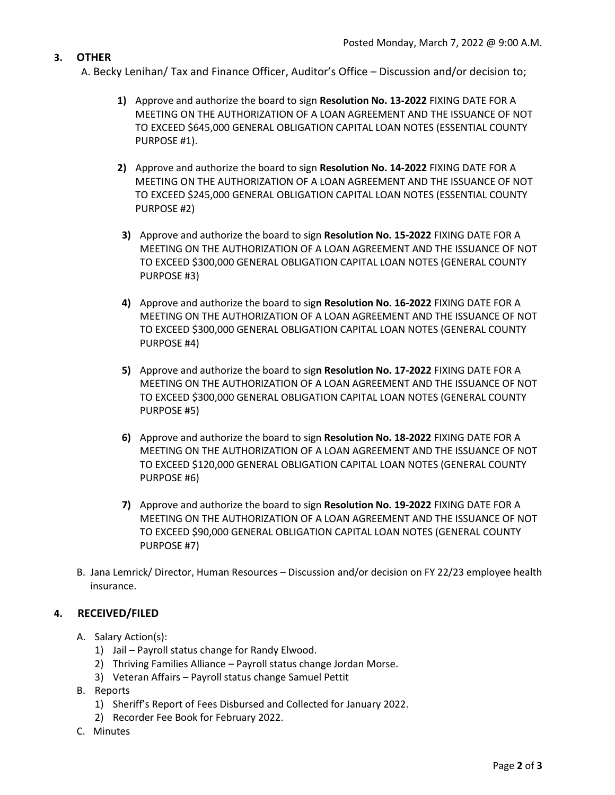## **3. OTHER**

- A. Becky Lenihan/ Tax and Finance Officer, Auditor's Office Discussion and/or decision to;
	- **1)** Approve and authorize the board to sign **Resolution No. 13-2022** FIXING DATE FOR A MEETING ON THE AUTHORIZATION OF A LOAN AGREEMENT AND THE ISSUANCE OF NOT TO EXCEED \$645,000 GENERAL OBLIGATION CAPITAL LOAN NOTES (ESSENTIAL COUNTY PURPOSE #1).
	- **2)** Approve and authorize the board to sign **Resolution No. 14-2022** FIXING DATE FOR A MEETING ON THE AUTHORIZATION OF A LOAN AGREEMENT AND THE ISSUANCE OF NOT TO EXCEED \$245,000 GENERAL OBLIGATION CAPITAL LOAN NOTES (ESSENTIAL COUNTY PURPOSE #2)
	- **3)** Approve and authorize the board to sign **Resolution No. 15-2022** FIXING DATE FOR A MEETING ON THE AUTHORIZATION OF A LOAN AGREEMENT AND THE ISSUANCE OF NOT TO EXCEED \$300,000 GENERAL OBLIGATION CAPITAL LOAN NOTES (GENERAL COUNTY PURPOSE #3)
	- **4)** Approve and authorize the board to sig**n Resolution No. 16-2022** FIXING DATE FOR A MEETING ON THE AUTHORIZATION OF A LOAN AGREEMENT AND THE ISSUANCE OF NOT TO EXCEED \$300,000 GENERAL OBLIGATION CAPITAL LOAN NOTES (GENERAL COUNTY PURPOSE #4)
	- **5)** Approve and authorize the board to sig**n Resolution No. 17-2022** FIXING DATE FOR A MEETING ON THE AUTHORIZATION OF A LOAN AGREEMENT AND THE ISSUANCE OF NOT TO EXCEED \$300,000 GENERAL OBLIGATION CAPITAL LOAN NOTES (GENERAL COUNTY PURPOSE #5)
	- **6)** Approve and authorize the board to sign **Resolution No. 18-2022** FIXING DATE FOR A MEETING ON THE AUTHORIZATION OF A LOAN AGREEMENT AND THE ISSUANCE OF NOT TO EXCEED \$120,000 GENERAL OBLIGATION CAPITAL LOAN NOTES (GENERAL COUNTY PURPOSE #6)
	- **7)** Approve and authorize the board to sign **Resolution No. 19-2022** FIXING DATE FOR A MEETING ON THE AUTHORIZATION OF A LOAN AGREEMENT AND THE ISSUANCE OF NOT TO EXCEED \$90,000 GENERAL OBLIGATION CAPITAL LOAN NOTES (GENERAL COUNTY PURPOSE #7)
- B. Jana Lemrick/ Director, Human Resources Discussion and/or decision on FY 22/23 employee health insurance.

## **4. RECEIVED/FILED**

- A. Salary Action(s):
	- 1) Jail Payroll status change for Randy Elwood.
	- 2) Thriving Families Alliance Payroll status change Jordan Morse.
	- 3) Veteran Affairs Payroll status change Samuel Pettit
- B. Reports
	- 1) Sheriff's Report of Fees Disbursed and Collected for January 2022.
	- 2) Recorder Fee Book for February 2022.
- C. Minutes